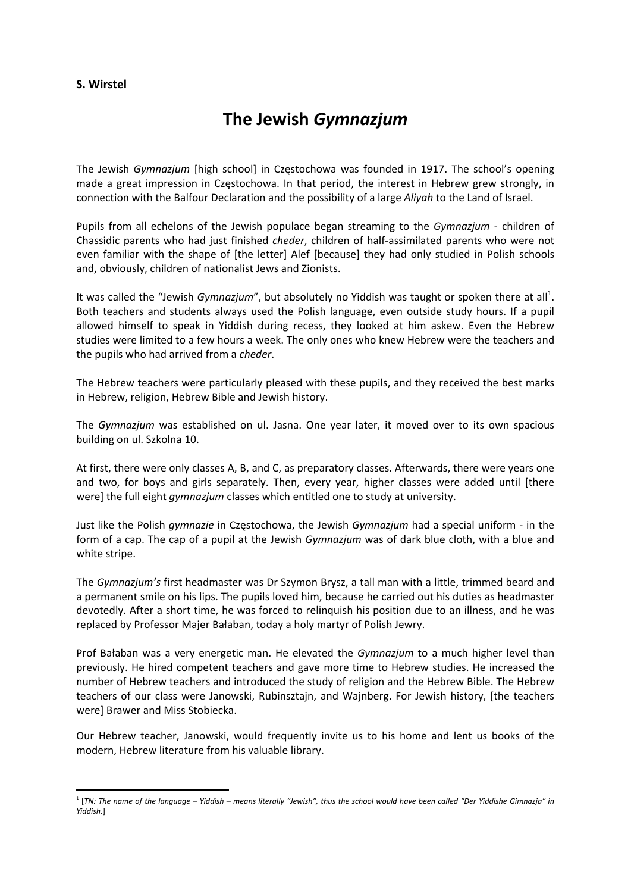## **S. Wirstel**

## **The Jewish** *Gymnazjum*

The Jewish *Gymnazjum* [high school] in Częstochowa was founded in 1917. The school's opening made a great impression in Częstochowa. In that period, the interest in Hebrew grew strongly, in connection with the Balfour Declaration and the possibility of a large *Aliyah* to the Land of Israel.

Pupils from all echelons of the Jewish populace began streaming to the *Gymnazjum* - children of Chassidic parents who had just finished *cheder*, children of half‐assimilated parents who were not even familiar with the shape of [the letter] Alef [because] they had only studied in Polish schools and, obviously, children of nationalist Jews and Zionists.

It was called the "Jewish *Gymnazjum"*, but absolutely no Yiddish was taught or spoken there at all<sup>1</sup>. Both teachers and students always used the Polish language, even outside study hours. If a pupil allowed himself to speak in Yiddish during recess, they looked at him askew. Even the Hebrew studies were limited to a few hours a week. The only ones who knew Hebrew were the teachers and the pupils who had arrived from a *cheder*.

The Hebrew teachers were particularly pleased with these pupils, and they received the best marks in Hebrew, religion, Hebrew Bible and Jewish history.

The *Gymnazjum* was established on ul. Jasna. One year later, it moved over to its own spacious building on ul. Szkolna 10.

At first, there were only classes A, B, and C, as preparatory classes. Afterwards, there were years one and two, for boys and girls separately. Then, every year, higher classes were added until [there were] the full eight *gymnazjum* classes which entitled one to study at university.

Just like the Polish *gymnazie* in Częstochowa, the Jewish *Gymnazjum* had a special uniform ‐ in the form of a cap. The cap of a pupil at the Jewish *Gymnazjum* was of dark blue cloth, with a blue and white stripe.

The *Gymnazjum's* first headmaster was Dr Szymon Brysz, a tall man with a little, trimmed beard and a permanent smile on his lips. The pupils loved him, because he carried out his duties as headmaster devotedly. After a short time, he was forced to relinquish his position due to an illness, and he was replaced by Professor Majer Bałaban, today a holy martyr of Polish Jewry.

Prof Bałaban was a very energetic man. He elevated the *Gymnazjum* to a much higher level than previously. He hired competent teachers and gave more time to Hebrew studies. He increased the number of Hebrew teachers and introduced the study of religion and the Hebrew Bible. The Hebrew teachers of our class were Janowski, Rubinsztajn, and Wajnberg. For Jewish history, [the teachers were] Brawer and Miss Stobiecka.

Our Hebrew teacher, Janowski, would frequently invite us to his home and lent us books of the modern, Hebrew literature from his valuable library.

<sup>&</sup>lt;sup>1</sup> [TN: The name of the language – Yiddish – means literally "Jewish", thus the school would have been called "Der Yiddishe Gimnazja" in *Yiddish.*]